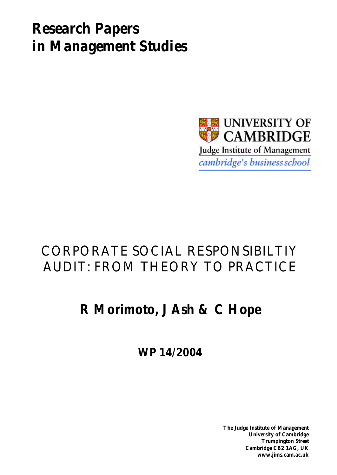# *Research Papers in Management Studies*



## CORPORATE SOCIAL RESPONSIBILTIY AUDIT: FROM THEORY TO PRACTICE

## **R Morimoto, J Ash & C Hope**

**WP 14/2004**

**The Judge Institute of Management University of Cambridge Trumpington Street Cambridge CB2 1AG, UK www.jims.cam.ac.uk**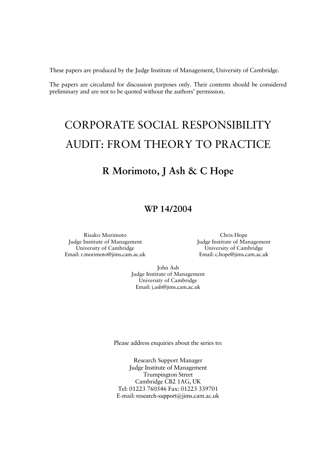These papers are produced by the Judge Institute of Management, University of Cambridge.

The papers are circulated for discussion purposes only. Their contents should be considered preliminary and are not to be quoted without the authors' permission.

## CORPORATE SOCIAL RESPONSIBILITY AUDIT: FROM THEORY TO PRACTICE

## **R Morimoto, J Ash & C Hope**

### **WP 14/2004**

Risako Morimoto Judge Institute of Management University of Cambridge Email: r.morimoto@jims.cam.ac.uk

Chris Hope Judge Institute of Management University of Cambridge Email: c.hope@jims.cam.ac.uk

John Ash Judge Institute of Management University of Cambridge Email: j.ash@jims.cam.ac.uk

Please address enquiries about the series to:

Research Support Manager Judge Institute of Management Trumpington Street Cambridge CB2 1AG, UK Tel: 01223 760546 Fax: 01223 339701 E-mail: research-support@jims.cam.ac.uk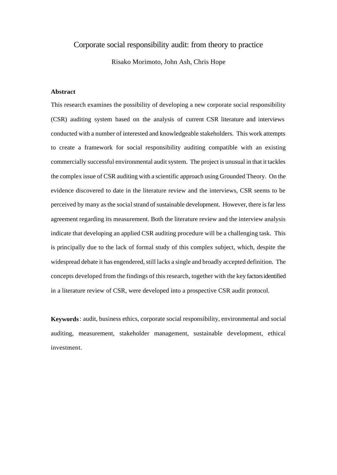#### Corporate social responsibility audit: from theory to practice

Risako Morimoto, John Ash, Chris Hope

#### **Abstract**

This research examines the possibility of developing a new corporate social responsibility (CSR) auditing system based on the analysis of current CSR literature and interviews conducted with a number of interested and knowledgeable stakeholders. This work attempts to create a framework for social responsibility auditing compatible with an existing commercially successful environmental audit system. The project is unusual in that it tackles the complex issue of CSR auditing with a scientific approach using Grounded Theory. On the evidence discovered to date in the literature review and the interviews, CSR seems to be perceived by many as the social strand of sustainable development. However, there is far less agreement regarding its measurement. Both the literature review and the interview analysis indicate that developing an applied CSR auditing procedure will be a challenging task. This is principally due to the lack of formal study of this complex subject, which, despite the widespread debate it has engendered, still lacks a single and broadly accepted definition. The concepts developed from the findings of this research, together with the key factors identified in a literature review of CSR, were developed into a prospective CSR audit protocol.

**Keywords**: audit, business ethics, corporate social responsibility, environmental and social auditing, measurement, stakeholder management, sustainable development, ethical investment.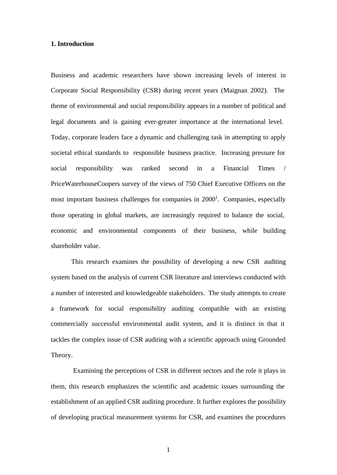#### **1. Introduction**

Business and academic researchers have shown increasing levels of interest in Corporate Social Responsibility (CSR) during recent years (Maignan 2002). The theme of environmental and social responsibility appears in a number of political and legal documents and is gaining ever-greater importance at the international level. Today, corporate leaders face a dynamic and challenging task in attempting to apply societal ethical standards to responsible business practice. Increasing pressure for social responsibility was ranked second in a Financial Times / PriceWaterhouseCoopers survey of the views of 750 Chief Executive Officers on the most important business challenges for companies in 2000<sup>1</sup>. Companies, especially those operating in global markets, are increasingly required to balance the social, economic and environmental components of their business, while building shareholder value.

This research examines the possibility of developing a new CSR auditing system based on the analysis of current CSR literature and interviews conducted with a number of interested and knowledgeable stakeholders. The study attempts to create a framework for social responsibility auditing compatible with an existing commercially successful environmental audit system, and it is distinct in that it tackles the complex issue of CSR auditing with a scientific approach using Grounded Theory.

 Examining the perceptions of CSR in different sectors and the role it plays in them, this research emphasizes the scientific and academic issues surrounding the establishment of an applied CSR auditing procedure. It further explores the possibility of developing practical measurement systems for CSR, and examines the procedures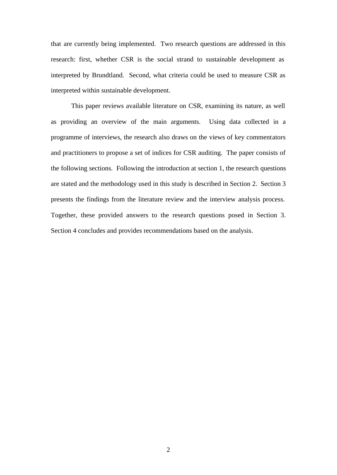that are currently being implemented. Two research questions are addressed in this research: first, whether CSR is the social strand to sustainable development as interpreted by Brundtland. Second, what criteria could be used to measure CSR as interpreted within sustainable development.

This paper reviews available literature on CSR, examining its nature, as well as providing an overview of the main arguments. Using data collected in a programme of interviews, the research also draws on the views of key commentators and practitioners to propose a set of indices for CSR auditing. The paper consists of the following sections. Following the introduction at section 1, the research questions are stated and the methodology used in this study is described in Section 2. Section 3 presents the findings from the literature review and the interview analysis process. Together, these provided answers to the research questions posed in Section 3. Section 4 concludes and provides recommendations based on the analysis.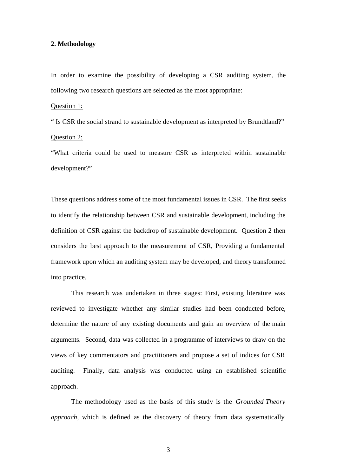#### **2. Methodology**

In order to examine the possibility of developing a CSR auditing system, the following two research questions are selected as the most appropriate:

#### Question 1:

" Is CSR the social strand to sustainable development as interpreted by Brundtland?" Question 2:

"What criteria could be used to measure CSR as interpreted within sustainable development?"

These questions address some of the most fundamental issues in CSR. The first seeks to identify the relationship between CSR and sustainable development, including the definition of CSR against the backdrop of sustainable development. Question 2 then considers the best approach to the measurement of CSR, Providing a fundamental framework upon which an auditing system may be developed, and theory transformed into practice.

This research was undertaken in three stages: First, existing literature was reviewed to investigate whether any similar studies had been conducted before, determine the nature of any existing documents and gain an overview of the main arguments. Second, data was collected in a programme of interviews to draw on the views of key commentators and practitioners and propose a set of indices for CSR auditing. Finally, data analysis was conducted using an established scientific approach.

The methodology used as the basis of this study is the *Grounded Theory approach*, which is defined as the discovery of theory from data systematically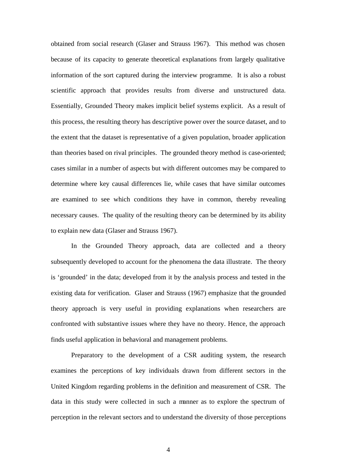obtained from social research (Glaser and Strauss 1967). This method was chosen because of its capacity to generate theoretical explanations from largely qualitative information of the sort captured during the interview programme. It is also a robust scientific approach that provides results from diverse and unstructured data. Essentially, Grounded Theory makes implicit belief systems explicit. As a result of this process, the resulting theory has descriptive power over the source dataset, and to the extent that the dataset is representative of a given population, broader application than theories based on rival principles. The grounded theory method is case-oriented; cases similar in a number of aspects but with different outcomes may be compared to determine where key causal differences lie, while cases that have similar outcomes are examined to see which conditions they have in common, thereby revealing necessary causes. The quality of the resulting theory can be determined by its ability to explain new data (Glaser and Strauss 1967).

In the Grounded Theory approach, data are collected and a theory subsequently developed to account for the phenomena the data illustrate. The theory is 'grounded' in the data; developed from it by the analysis process and tested in the existing data for verification. Glaser and Strauss (1967) emphasize that the grounded theory approach is very useful in providing explanations when researchers are confronted with substantive issues where they have no theory. Hence, the approach finds useful application in behavioral and management problems.

Preparatory to the development of a CSR auditing system, the research examines the perceptions of key individuals drawn from different sectors in the United Kingdom regarding problems in the definition and measurement of CSR. The data in this study were collected in such a manner as to explore the spectrum of perception in the relevant sectors and to understand the diversity of those perceptions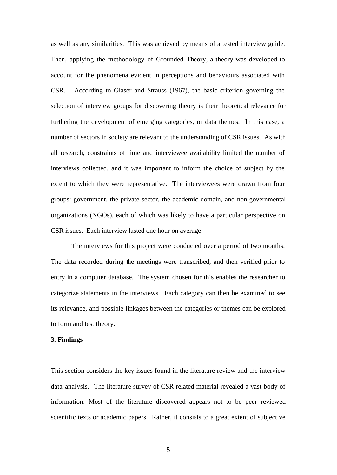as well as any similarities. This was achieved by means of a tested interview guide. Then, applying the methodology of Grounded Theory, a theory was developed to account for the phenomena evident in perceptions and behaviours associated with CSR. According to Glaser and Strauss (1967), the basic criterion governing the selection of interview groups for discovering theory is their theoretical relevance for furthering the development of emerging categories, or data themes. In this case, a number of sectors in society are relevant to the understanding of CSR issues. As with all research, constraints of time and interviewee availability limited the number of interviews collected, and it was important to inform the choice of subject by the extent to which they were representative. The interviewees were drawn from four groups: government, the private sector, the academic domain, and non-governmental organizations (NGOs), each of which was likely to have a particular perspective on CSR issues. Each interview lasted one hour on average

The interviews for this project were conducted over a period of two months. The data recorded during the meetings were transcribed, and then verified prior to entry in a computer database. The system chosen for this enables the researcher to categorize statements in the interviews. Each category can then be examined to see its relevance, and possible linkages between the categories or themes can be explored to form and test theory.

#### **3. Findings**

This section considers the key issues found in the literature review and the interview data analysis. The literature survey of CSR related material revealed a vast body of information. Most of the literature discovered appears not to be peer reviewed scientific texts or academic papers. Rather, it consists to a great extent of subjective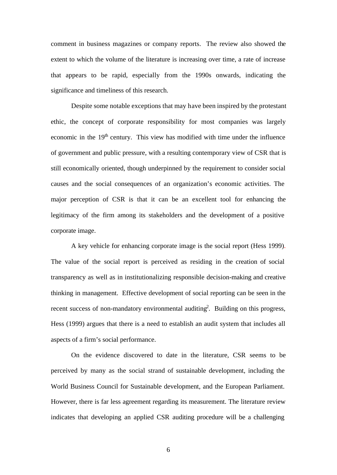comment in business magazines or company reports. The review also showed the extent to which the volume of the literature is increasing over time, a rate of increase that appears to be rapid, especially from the 1990s onwards, indicating the significance and timeliness of this research.

Despite some notable exceptions that may have been inspired by the protestant ethic, the concept of corporate responsibility for most companies was largely economic in the  $19<sup>th</sup>$  century. This view has modified with time under the influence of government and public pressure, with a resulting contemporary view of CSR that is still economically oriented, though underpinned by the requirement to consider social causes and the social consequences of an organization's economic activities. The major perception of CSR is that it can be an excellent tool for enhancing the legitimacy of the firm among its stakeholders and the development of a positive corporate image.

A key vehicle for enhancing corporate image is the social report (Hess 1999). The value of the social report is perceived as residing in the creation of social transparency as well as in institutionalizing responsible decision-making and creative thinking in management. Effective development of social reporting can be seen in the recent success of non-mandatory environmental auditing<sup>2</sup>. Building on this progress, Hess (1999) argues that there is a need to establish an audit system that includes all aspects of a firm's social performance.

On the evidence discovered to date in the literature, CSR seems to be perceived by many as the social strand of sustainable development, including the World Business Council for Sustainable development, and the European Parliament. However, there is far less agreement regarding its measurement. The literature review indicates that developing an applied CSR auditing procedure will be a challenging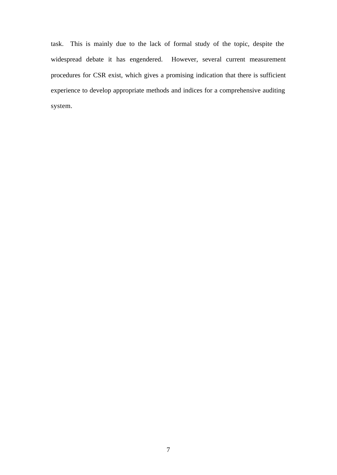task. This is mainly due to the lack of formal study of the topic, despite the widespread debate it has engendered. However, several current measurement procedures for CSR exist, which gives a promising indication that there is sufficient experience to develop appropriate methods and indices for a comprehensive auditing system.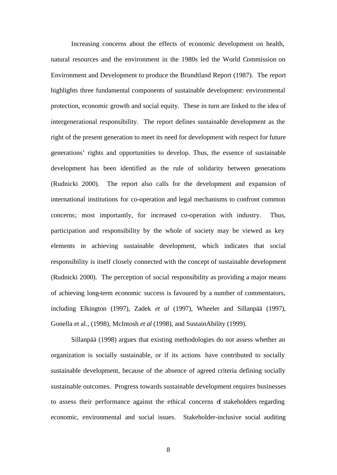Increasing concerns about the effects of economic development on health, natural resources and the environment in the 1980s led the World Commission on Environment and Development to produce the Brundtland Report (1987). The report highlights three fundamental components of sustainable development: environmental protection, economic growth and social equity. These in turn are linked to the idea of intergenerational responsibility. The report defines sustainable development as the right of the present generation to meet its need for development with respect for future generations' rights and opportunities to develop. Thus, the essence of sustainable development has been identified as the rule of solidarity between generations (Rudnicki 2000). The report also calls for the development and expansion of international institutions for co-operation and legal mechanisms to confront common concerns; most importantly, for increased co-operation with industry. Thus, participation and responsibility by the whole of society may be viewed as key elements in achieving sustainable development, which indicates that social responsibility is itself closely connected with the concept of sustainable development (Rudnicki 2000). The perception of social responsibility as providing a major means of achieving long-term economic success is favoured by a number of commentators, including Elkington (1997), Zadek *et al* (1997), Wheeler and Sillanpää (1997), Gonella et al., (1998), McIntosh *et al* (1998), and SustainAbility (1999).

Sillanpää (1998) argues that existing methodologies do not assess whether an organization is socially sustainable, or if its actions have contributed to socially sustainable development, because of the absence of agreed criteria defining socially sustainable outcomes. Progress towards sustainable development requires businesses to assess their performance against the ethical concerns of stakeholders regarding economic, environmental and social issues. Stakeholder-inclusive social auditing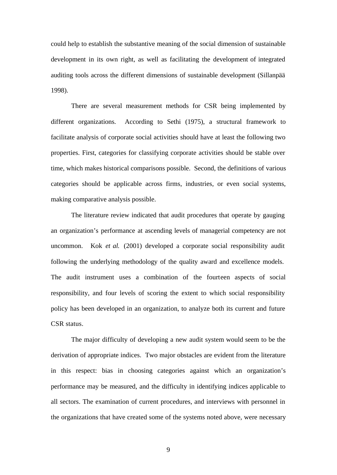could help to establish the substantive meaning of the social dimension of sustainable development in its own right, as well as facilitating the development of integrated auditing tools across the different dimensions of sustainable development (Sillanpää 1998).

There are several measurement methods for CSR being implemented by different organizations. According to Sethi (1975), a structural framework to facilitate analysis of corporate social activities should have at least the following two properties. First, categories for classifying corporate activities should be stable over time, which makes historical comparisons possible. Second, the definitions of various categories should be applicable across firms, industries, or even social systems, making comparative analysis possible.

The literature review indicated that audit procedures that operate by gauging an organization's performance at ascending levels of managerial competency are not uncommon. Kok *et al.* (2001) developed a corporate social responsibility audit following the underlying methodology of the quality award and excellence models. The audit instrument uses a combination of the fourteen aspects of social responsibility, and four levels of scoring the extent to which social responsibility policy has been developed in an organization, to analyze both its current and future CSR status.

The major difficulty of developing a new audit system would seem to be the derivation of appropriate indices. Two major obstacles are evident from the literature in this respect: bias in choosing categories against which an organization's performance may be measured, and the difficulty in identifying indices applicable to all sectors. The examination of current procedures, and interviews with personnel in the organizations that have created some of the systems noted above, were necessary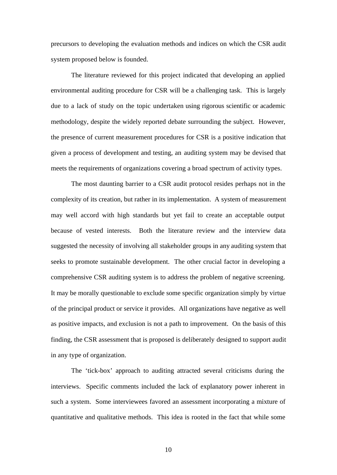precursors to developing the evaluation methods and indices on which the CSR audit system proposed below is founded.

The literature reviewed for this project indicated that developing an applied environmental auditing procedure for CSR will be a challenging task. This is largely due to a lack of study on the topic undertaken using rigorous scientific or academic methodology, despite the widely reported debate surrounding the subject. However, the presence of current measurement procedures for CSR is a positive indication that given a process of development and testing, an auditing system may be devised that meets the requirements of organizations covering a broad spectrum of activity types.

The most daunting barrier to a CSR audit protocol resides perhaps not in the complexity of its creation, but rather in its implementation. A system of measurement may well accord with high standards but yet fail to create an acceptable output because of vested interests. Both the literature review and the interview data suggested the necessity of involving all stakeholder groups in any auditing system that seeks to promote sustainable development. The other crucial factor in developing a comprehensive CSR auditing system is to address the problem of negative screening. It may be morally questionable to exclude some specific organization simply by virtue of the principal product or service it provides. All organizations have negative as well as positive impacts, and exclusion is not a path to improvement. On the basis of this finding, the CSR assessment that is proposed is deliberately designed to support audit in any type of organization.

The 'tick-box' approach to auditing attracted several criticisms during the interviews. Specific comments included the lack of explanatory power inherent in such a system. Some interviewees favored an assessment incorporating a mixture of quantitative and qualitative methods. This idea is rooted in the fact that while some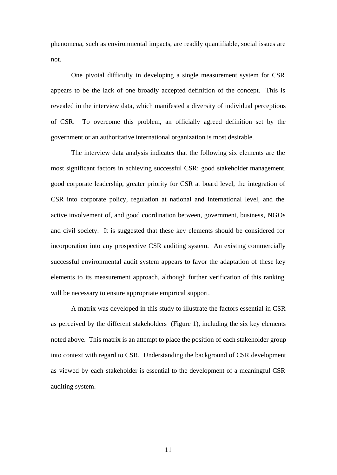phenomena, such as environmental impacts, are readily quantifiable, social issues are not.

One pivotal difficulty in developing a single measurement system for CSR appears to be the lack of one broadly accepted definition of the concept. This is revealed in the interview data, which manifested a diversity of individual perceptions of CSR. To overcome this problem, an officially agreed definition set by the government or an authoritative international organization is most desirable.

The interview data analysis indicates that the following six elements are the most significant factors in achieving successful CSR: good stakeholder management, good corporate leadership, greater priority for CSR at board level, the integration of CSR into corporate policy, regulation at national and international level, and the active involvement of, and good coordination between, government, business, NGOs and civil society. It is suggested that these key elements should be considered for incorporation into any prospective CSR auditing system. An existing commercially successful environmental audit system appears to favor the adaptation of these key elements to its measurement approach, although further verification of this ranking will be necessary to ensure appropriate empirical support.

A matrix was developed in this study to illustrate the factors essential in CSR as perceived by the different stakeholders (Figure 1), including the six key elements noted above. This matrix is an attempt to place the position of each stakeholder group into context with regard to CSR. Understanding the background of CSR development as viewed by each stakeholder is essential to the development of a meaningful CSR auditing system.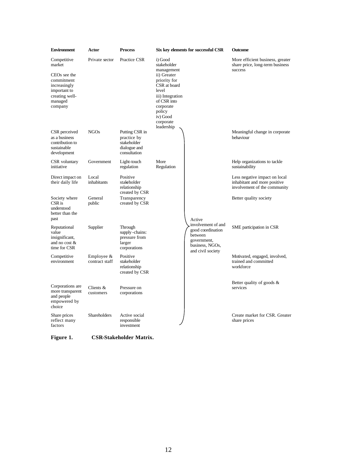| <b>Environment</b>                                                                                                                      | Actor                          | <b>Process</b>                                                               |                                                                                                                                                                                               | Six key elements for successful CSR                                                                       | Outcome                                                                                       |
|-----------------------------------------------------------------------------------------------------------------------------------------|--------------------------------|------------------------------------------------------------------------------|-----------------------------------------------------------------------------------------------------------------------------------------------------------------------------------------------|-----------------------------------------------------------------------------------------------------------|-----------------------------------------------------------------------------------------------|
| Competitive<br>market<br>CEO <sub>s</sub> see the<br>commitment<br>increasingly<br>important to<br>creating well-<br>managed<br>company | Private sector                 | Practice CSR                                                                 | i) Good<br>stakeholder<br>management<br>ii) Greater<br>priority for<br>CSR at board<br>level<br>iii) Integration<br>of CSR into<br>corporate<br>policy<br>iv) Good<br>corporate<br>leadership |                                                                                                           | More efficient business, greater<br>share price, long-term business<br>success                |
| CSR perceived<br>as a business<br>contribution to<br>sustainable<br>development                                                         | <b>NGOs</b>                    | Putting CSR in<br>practice by<br>stakeholder<br>dialogue and<br>consultation |                                                                                                                                                                                               |                                                                                                           | Meaningful change in corporate<br>behaviour                                                   |
| CSR voluntary<br>initiative                                                                                                             | Government                     | Light-touch<br>regulation                                                    | More<br>Regulation                                                                                                                                                                            |                                                                                                           | Help organizations to tackle<br>sustainability                                                |
| Direct impact on<br>their daily life                                                                                                    | Local<br>inhabitants           | Positive<br>stakeholder<br>relationship<br>created by CSR                    |                                                                                                                                                                                               |                                                                                                           | Less negative impact on local<br>inhabitant and more positive<br>involvement of the community |
| Society where<br>CSR is<br>understood<br>better than the<br>past                                                                        | General<br>public              | Transparency<br>created by CSR                                               |                                                                                                                                                                                               | Active                                                                                                    | Better quality society                                                                        |
| Reputational<br>value<br>insignificant,<br>and no cost $\&$<br>time for CSR                                                             | Supplier                       | Through<br>supply-chains:<br>pressure from<br>larger<br>corporations         |                                                                                                                                                                                               | involvement of and<br>good coordination<br>between<br>government,<br>business, NGOs,<br>and civil society | SME participation in CSR                                                                      |
| Competitive<br>environment                                                                                                              | Employee $&$<br>contract staff | Positive<br>stakeholder<br>relationship<br>created by CSR                    |                                                                                                                                                                                               |                                                                                                           | Motivated, engaged, involved,<br>trained and committed<br>workforce                           |
| Corporations are<br>more transparent<br>and people<br>empowered by<br>choice                                                            | Clients &<br>customers         | Pressure on<br>corporations                                                  |                                                                                                                                                                                               |                                                                                                           | Better quality of goods $\&$<br>services                                                      |
| Share prices<br>reflect many<br>factors                                                                                                 | Shareholders                   | Active social<br>responsible<br>investment                                   |                                                                                                                                                                                               |                                                                                                           | Create market for CSR. Greater<br>share prices                                                |

**Figure 1. CSR-Stakeholder Matrix.**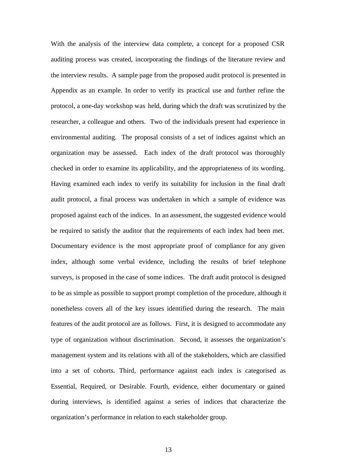With the analysis of the interview data complete, a concept for a proposed CSR auditing process was created, incorporating the findings of the literature review and the interview results. A sample page from the proposed audit protocol is presented in Appendix as an example. In order to verify its practical use and further refine the protocol, a one-day workshop was held, during which the draft was scrutinized by the researcher, a colleague and others. Two of the individuals present had experience in environmental auditing. The proposal consists of a set of indices against which an organization may be assessed. Each index of the draft protocol was thoroughly checked in order to examine its applicability, and the appropriateness of its wording. Having examined each index to verify its suitability for inclusion in the final draft audit protocol, a final process was undertaken in which a sample of evidence was proposed against each of the indices. In an assessment, the suggested evidence would be required to satisfy the auditor that the requirements of each index had been met. Documentary evidence is the most appropriate proof of compliance for any given index, although some verbal evidence, including the results of brief telephone surveys, is proposed in the case of some indices. The draft audit protocol is designed to be as simple as possible to support prompt completion of the procedure, although it nonetheless covers all of the key issues identified during the research. The main features of the audit protocol are as follows. First, it is designed to accommodate any type of organization without discrimination. Second, it assesses the organization's management system and its relations with all of the stakeholders, which are classified into a set of cohorts. Third, performance against each index is categorised as Essential, Required, or Desirable. Fourth, evidence, either documentary or gained during interviews, is identified against a series of indices that characterize the organization's performance in relation to each stakeholder group.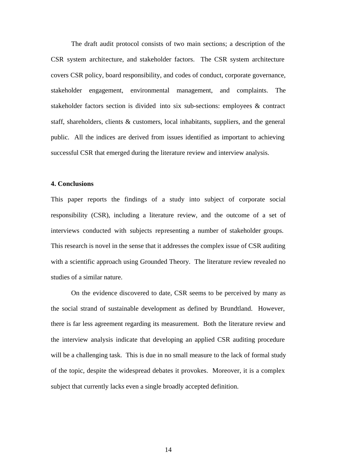The draft audit protocol consists of two main sections; a description of the CSR system architecture, and stakeholder factors. The CSR system architecture covers CSR policy, board responsibility, and codes of conduct, corporate governance, stakeholder engagement, environmental management, and complaints. The stakeholder factors section is divided into six sub-sections: employees & contract staff, shareholders, clients & customers, local inhabitants, suppliers, and the general public. All the indices are derived from issues identified as important to achieving successful CSR that emerged during the literature review and interview analysis.

#### **4. Conclusions**

This paper reports the findings of a study into subject of corporate social responsibility (CSR), including a literature review, and the outcome of a set of interviews conducted with subjects representing a number of stakeholder groups. This research is novel in the sense that it addresses the complex issue of CSR auditing with a scientific approach using Grounded Theory. The literature review revealed no studies of a similar nature.

On the evidence discovered to date, CSR seems to be perceived by many as the social strand of sustainable development as defined by Brundtland. However, there is far less agreement regarding its measurement. Both the literature review and the interview analysis indicate that developing an applied CSR auditing procedure will be a challenging task. This is due in no small measure to the lack of formal study of the topic, despite the widespread debates it provokes. Moreover, it is a complex subject that currently lacks even a single broadly accepted definition.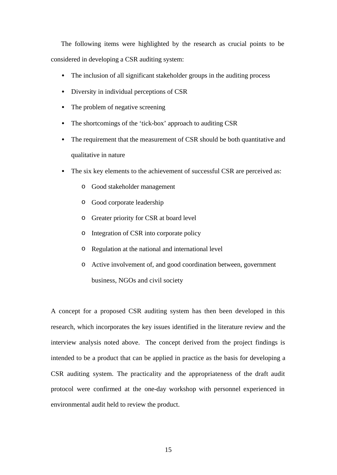The following items were highlighted by the research as crucial points to be considered in developing a CSR auditing system:

- The inclusion of all significant stakeholder groups in the auditing process
- Diversity in individual perceptions of CSR
- The problem of negative screening
- The shortcomings of the 'tick-box' approach to auditing CSR
- The requirement that the measurement of CSR should be both quantitative and qualitative in nature
- The six key elements to the achievement of successful CSR are perceived as:
	- o Good stakeholder management
	- o Good corporate leadership
	- o Greater priority for CSR at board level
	- o Integration of CSR into corporate policy
	- o Regulation at the national and international level
	- o Active involvement of, and good coordination between, government business, NGOs and civil society

A concept for a proposed CSR auditing system has then been developed in this research, which incorporates the key issues identified in the literature review and the interview analysis noted above. The concept derived from the project findings is intended to be a product that can be applied in practice as the basis for developing a CSR auditing system. The practicality and the appropriateness of the draft audit protocol were confirmed at the one-day workshop with personnel experienced in environmental audit held to review the product.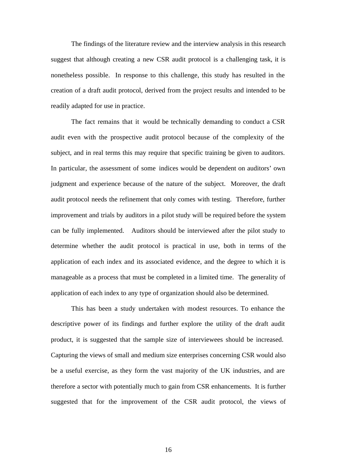The findings of the literature review and the interview analysis in this research suggest that although creating a new CSR audit protocol is a challenging task, it is nonetheless possible. In response to this challenge, this study has resulted in the creation of a draft audit protocol, derived from the project results and intended to be readily adapted for use in practice.

The fact remains that it would be technically demanding to conduct a CSR audit even with the prospective audit protocol because of the complexity of the subject, and in real terms this may require that specific training be given to auditors. In particular, the assessment of some indices would be dependent on auditors' own judgment and experience because of the nature of the subject. Moreover, the draft audit protocol needs the refinement that only comes with testing. Therefore, further improvement and trials by auditors in a pilot study will be required before the system can be fully implemented. Auditors should be interviewed after the pilot study to determine whether the audit protocol is practical in use, both in terms of the application of each index and its associated evidence, and the degree to which it is manageable as a process that must be completed in a limited time. The generality of application of each index to any type of organization should also be determined.

This has been a study undertaken with modest resources. To enhance the descriptive power of its findings and further explore the utility of the draft audit product, it is suggested that the sample size of interviewees should be increased. Capturing the views of small and medium size enterprises concerning CSR would also be a useful exercise, as they form the vast majority of the UK industries, and are therefore a sector with potentially much to gain from CSR enhancements. It is further suggested that for the improvement of the CSR audit protocol, the views of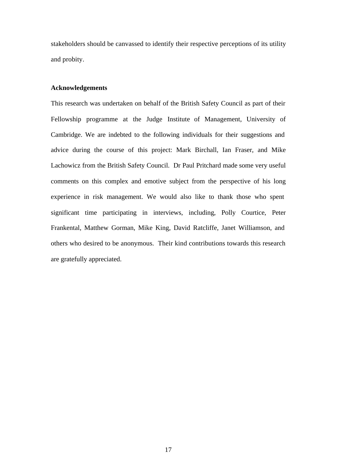stakeholders should be canvassed to identify their respective perceptions of its utility and probity.

#### **Acknowledgements**

This research was undertaken on behalf of the British Safety Council as part of their Fellowship programme at the Judge Institute of Management, University of Cambridge. We are indebted to the following individuals for their suggestions and advice during the course of this project: Mark Birchall, Ian Fraser, and Mike Lachowicz from the British Safety Council. Dr Paul Pritchard made some very useful comments on this complex and emotive subject from the perspective of his long experience in risk management. We would also like to thank those who spent significant time participating in interviews, including, Polly Courtice, Peter Frankental, Matthew Gorman, Mike King, David Ratcliffe, Janet Williamson, and others who desired to be anonymous. Their kind contributions towards this research are gratefully appreciated.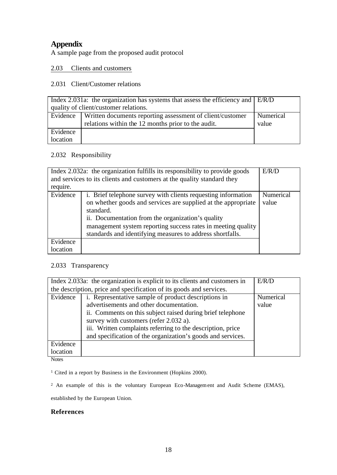## **Appendix**

A sample page from the proposed audit protocol

#### 2.03 Clients and customers

### 2.031 Client/Customer relations

| Index 2.031a: the organization has systems that assess the efficiency and   E/R/D<br>quality of client/customer relations. |                                                                                                                 |                    |
|----------------------------------------------------------------------------------------------------------------------------|-----------------------------------------------------------------------------------------------------------------|--------------------|
| Evidence                                                                                                                   | Written documents reporting assessment of client/customer<br>relations within the 12 months prior to the audit. | Numerical<br>value |
| Evidence<br>location                                                                                                       |                                                                                                                 |                    |

### 2.032 Responsibility

| Index 2.032a: the organization fulfills its responsibility to provide goods<br>and services to its clients and customers at the quality standard they<br>require. | E/R/D                                                                                                                                                                                                                                                                                                                         |                    |
|-------------------------------------------------------------------------------------------------------------------------------------------------------------------|-------------------------------------------------------------------------------------------------------------------------------------------------------------------------------------------------------------------------------------------------------------------------------------------------------------------------------|--------------------|
| Evidence                                                                                                                                                          | i. Brief telephone survey with clients requesting information<br>on whether goods and services are supplied at the appropriate<br>standard.<br>ii. Documentation from the organization's quality<br>management system reporting success rates in meeting quality<br>standards and identifying measures to address shortfalls. | Numerical<br>value |
| Evidence<br>location                                                                                                                                              |                                                                                                                                                                                                                                                                                                                               |                    |

### 2.033 Transparency

| Index 2.033a: the organization is explicit to its clients and customers in | E/R/D                                                       |           |
|----------------------------------------------------------------------------|-------------------------------------------------------------|-----------|
| the description, price and specification of its goods and services.        |                                                             |           |
| Evidence                                                                   | i. Representative sample of product descriptions in         | Numerical |
|                                                                            | advertisements and other documentation.                     | value     |
|                                                                            | ii. Comments on this subject raised during brief telephone  |           |
|                                                                            | survey with customers (refer 2.032 a).                      |           |
|                                                                            | iii. Written complaints referring to the description, price |           |
|                                                                            | and specification of the organization's goods and services. |           |
| Evidence                                                                   |                                                             |           |
| location                                                                   |                                                             |           |

**Notes** 

<sup>1</sup> Cited in a report by Business in the Environment (Hopkins 2000).

<sup>2</sup>An example of this is the voluntary European Eco-Management and Audit Scheme (EMAS),

established by the European Union.

#### **References**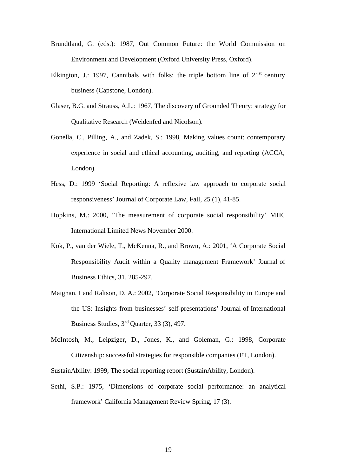- Brundtland, G. (eds.): 1987, Out Common Future: the World Commission on Environment and Development (Oxford University Press, Oxford).
- Elkington, J.: 1997, Cannibals with folks: the triple bottom line of  $21<sup>st</sup>$  century business (Capstone, London).
- Glaser, B.G. and Strauss, A.L.: 1967, The discovery of Grounded Theory: strategy for Qualitative Research (Weidenfed and Nicolson).
- Gonella, C., Pilling, A., and Zadek, S.: 1998, Making values count: contemporary experience in social and ethical accounting, auditing, and reporting (ACCA, London).
- Hess, D.: 1999 'Social Reporting: A reflexive law approach to corporate social responsiveness' Journal of Corporate Law, Fall, 25 (1), 41-85.
- Hopkins, M.: 2000, 'The measurement of corporate social responsibility' MHC International Limited News November 2000.
- Kok, P., van der Wiele, T., McKenna, R., and Brown, A.: 2001, 'A Corporate Social Responsibility Audit within a Quality management Framework' Journal of Business Ethics, 31, 285-297.
- Maignan, I and Raltson, D. A.: 2002, 'Corporate Social Responsibility in Europe and the US: Insights from businesses' self-presentations' Journal of International Business Studies, 3rd Quarter, 33 (3), 497.
- McIntosh, M., Leipziger, D., Jones, K., and Goleman, G.: 1998, Corporate Citizenship: successful strategies for responsible companies (FT, London).

SustainAbility: 1999, The social reporting report (SustainAbility, London).

Sethi, S.P.: 1975, 'Dimensions of corporate social performance: an analytical framework' California Management Review Spring, 17 (3).